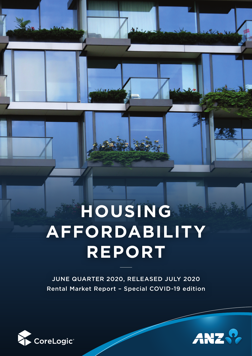# **HOUSING AFFORDABILITY REPORT**

 $\perp$ 

JUNE QUARTER 2020, RELEASED JULY 2020 Rental Market Report – Special COVID-19 edition



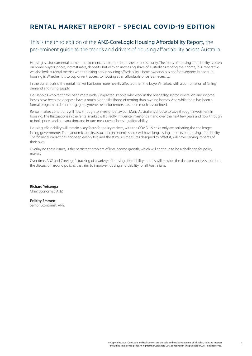# <span id="page-1-0"></span>**RENTAL MARKET REPORT – SPECIAL COVID-19 EDITION**

# This is the third edition of the ANZ-CoreLogic Housing Affordability Report, the pre-eminent guide to the trends and drivers of housing affordability across Australia.

Housing is a fundamental human requirement, as a form of both shelter and security. The focus of housing affordability is often on home buyers; prices, interest rates, deposits. But with an increasing share of Australians renting their home, it is imperative we also look at rental metrics when thinking about housing affordability. Home ownership is not for everyone, but secure housing is. Whether it is to buy or rent, access to housing at an affordable price is a necessity.

In the current crisis, the rental market has been more heavily affected than the buyers' market, with a combination of falling demand and rising supply.

Households who rent have been more widely impacted. People who work in the hospitality sector, where job and income losses have been the deepest, have a much higher likelihood of renting than owning homes. And while there has been a formal program to defer mortgage payments, relief for renters has been much less defined.

Rental market conditions will flow through to investor behaviour. Many Australians choose to save through investment in housing. The fluctuations in the rental market will directly influence investor demand over the next few years and flow through to both prices and construction, and in turn measures of housing affordability.

Housing affordability will remain a key focus for policy makers, with the COVID-19 crisis only exacerbating the challenges facing governments. The pandemic and its associated economic shock will have long lasting impacts on housing affordability. The financial impact has not been evenly felt, and the stimulus measures designed to offset it, will have varying impacts of their own.

Overlaying these issues, is the persistent problem of low income growth, which will continue to be a challenge for policy makers.

Over time, ANZ and Corelogic's tracking of a variety of housing affordability metrics will provide the data and analysis to inform the discussion around policies that aim to improve housing affordability for all Australians.

**Richard Yetsenga** Chief Economist, ANZ

**Felicity Emmett** Senior Economist, ANZ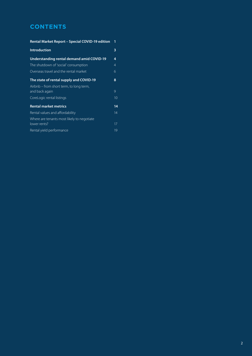# **CONTENTS**

| Rental Market Report - Special COVID-19 edition           |              |  |  |  |  |  |
|-----------------------------------------------------------|--------------|--|--|--|--|--|
| <b>Introduction</b>                                       | 3            |  |  |  |  |  |
| Understanding rental demand amid COVID-19                 | 4            |  |  |  |  |  |
| The shutdown of 'social' consumption                      | 4            |  |  |  |  |  |
| Overseas travel and the rental market                     | 6            |  |  |  |  |  |
| The state of rental supply and COVID-19                   | 8            |  |  |  |  |  |
| Airbnb – from short term, to long term,<br>and back again | $\mathsf{Q}$ |  |  |  |  |  |
| CoreLogic rental listings                                 | 10           |  |  |  |  |  |
| <b>Rental market metrics</b>                              | 14           |  |  |  |  |  |
| Rental values and affordability                           | 14           |  |  |  |  |  |
| Where are tenants most likely to negotiate                |              |  |  |  |  |  |
| lower rents?                                              | 17           |  |  |  |  |  |
| Rental yield performance                                  | 19           |  |  |  |  |  |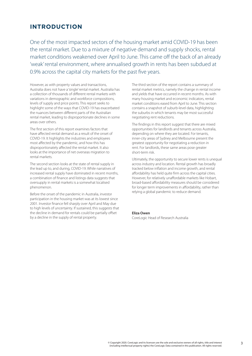# <span id="page-3-0"></span>**INTRODUCTION**

One of the most impacted sectors of the housing market amid COVID-19 has been the rental market. Due to a mixture of negative demand and supply shocks, rental market conditions weakened over April to June. This came off the back of an already 'weak' rental environment, where annualised growth in rents has been subdued at 0.9% across the capital city markets for the past five years.

However, as with property values and transactions, Australia does not have a 'single' rental market. Australia has a collection of thousands of different rental markets with variations in demographic and workforce compositions, levels of supply and price points. This report seeks to highlight some of the ways that COVID-19 has exacerbated the nuances between different parts of the Australian rental market, leading to disproportionate declines in some areas over others.

The first section of this report examines factors that have affected rental demand as a result of the onset of COVID-19. It highlights the industries and employees most affected by the pandemic, and how this has disproportionately affected the rental market. It also looks at the importance of net overseas migration to rental markets.

The second section looks at the state of rental supply in the lead up to, and during, COVID-19. While narratives of increased rental supply have dominated in recent months, a combination of finance and listings data suggests that oversupply in rental markets is a somewhat localised phenomenon.

Before the onset of the pandemic in Australia, investor participation in the housing market was at its lowest since 2001. Investor finance fell sharply over April and May due to high levels of uncertainty. If sustained, this suggests that the decline in demand for rentals could be partially offset by a decline in the supply of rental property.

The third section of the report contains a summary of rental market metrics, namely the change in rental income and yields that have occurred in recent months. As with many housing market and economic indicators, rental market conditions eased from April to June. This section contains a snapshot of suburb-level data, highlighting the suburbs in which tenants may be most successful negotiating rent reductions.

The findings in this report suggest that there are mixed opportunities for landlords and tenants across Australia, depending on where they are located. For tenants, inner-city areas of Sydney and Melbourne present the greatest opportunity for negotiating a reduction in rent. For landlords, these same areas pose greater short-term risk.

Ultimately, the opportunity to secure lower rents is unequal across industry and location. Rental growth has broadly tracked below inflation and income growth, and rental affordability has held quite firm across the capital cities. However, for relatively unaffordable markets like Hobart, broad-based affordability measures should be considered for longer term improvements in affordability, rather than relying a global pandemic to reduce demand.

#### **Eliza Owen**

CoreLogic Head of Research Australia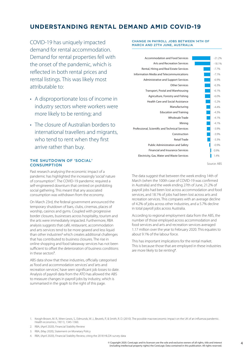# <span id="page-4-0"></span>**UNDERSTANDING RENTAL DEMAND AMID COVID-19**

COVID-19 has uniquely impacted demand for rental accommodation. Demand for rental properties fell with the onset of the pandemic, which is reflected in both rental prices and rental listings. This was likely most attributable to:

- A disproportionate loss of income in industry sectors where workers were more likely to be renting; and
- The closure of Australian borders to international travellers and migrants, who tend to rent when they first arrive rather than buy.

# THE SHUTDOWN OF 'SOCIAL' **CONSUMPTION**

Past research analysing the economic impact of a pandemic has highlighted the increasingly 'social' nature of consumption<sup>1</sup>. The COVID-19 pandemic required a self-engineered downturn that centred on prohibiting social gathering. This meant that any associated consumption was withdrawn from the economy.

On March 23rd, the federal government announced the temporary shutdown of bars, clubs, cinemas, places of worship, casinos and gyms. Coupled with progressive border closures, businesses across hospitality, tourism and the arts were immediately impacted. Furthermore, RBA analysis suggests that café, restaurant, accommodation and arts services tend to be more geared and less liquid than other industries<sup>2</sup> which creates additional challenges that has contributed to business closures. The rise in online shopping and food takeaway services has not been sufficient to offset the deterioration of business conditions in these sectors<sup>3</sup>.

ABS data show that these industries, officially categorised as 'food and accommodation services' and 'arts and recreation services', have seen significant job losses to date. Analysis of payroll data from the ATO has allowed the ABS to measure changes in payroll jobs by industry, which is summarised in the graph to the right of this page.

#### CHANGE IN PAYROLL JOBS BETWEEN 14TH OF MARCH AND 27TH JUNE, AUSTRALIA

| Accommodation and Food Services                 | $-21.2%$ |
|-------------------------------------------------|----------|
| <b>Arts and Recreation Services</b>             | $-18.1%$ |
| Rental, Hiring and Real Estate Services         | $-7.7%$  |
| Information Media and Telecommunications        | $-7.1%$  |
| <b>Administrative and Support Services</b>      | $-6.9%$  |
| Other Services                                  | $-6.3%$  |
| Transport, Postal and Warehousing               | $-6.1%$  |
| Agriculture, Forestry and Fishing               | $-6.0%$  |
| <b>Health Care and Social Assistance</b>        | $-5.2%$  |
| Manufacturing                                   | $-4.4%$  |
| <b>Education and Training</b>                   | $-4.3%$  |
| <b>Wholesale Trade</b>                          | $-4.1%$  |
| Mining                                          | $-4.1%$  |
| Professional, Scientific and Technical Services | $-3.9%$  |
| Construction                                    | $-3.9%$  |
| <b>Retail Trade</b>                             | $-3.3%$  |
| <b>Public Administration and Safety</b>         | $-0.9%$  |
| <b>Financial and Insurance Services</b>         | 0.9%     |
| Electricity, Gas, Water and Waste Services      | 1.4%     |
|                                                 |          |

Source: ABS

The data suggest that between the week ending 14th of March (when the 100th case of COVID-19 was confirmed in Australia) and the week ending 27th of June, 21.2% of payroll jobs had been lost across accommodation and food services, and 18.1% of jobs had been lost across arts and recreation services. This compares with an average decline of 4.2% of jobs across other industries, and a 5.7% decline in total payroll jobs across Australia.

According to regional employment data from the ABS, the number of those employed across accommodation and food services and arts and recreation services averaged 1.17 million over the year to February 2020. This equates to about 9.1% of the labour force.

This has important implications for the rental market. This is because those that are employed in these industries are more likely to be renting<sup>4</sup>.

- 1. Keogh-Brown, M. R., Wren-Lewis, S., Edmunds, W. J., Beutels, P., & Smith, R. D. (2010). The possible macroeconomic impact on the UK of an influenza pandemic. Health economics, 19(11), 1345-1360.
- 2. RBA, (April 2020), Financial Stability Review
- 3. RBA, (May 2020), Statement on Monetary Policy
- 4. RBA, (April 2020), Financial Stability Review, citing the 2018 HILDA survey data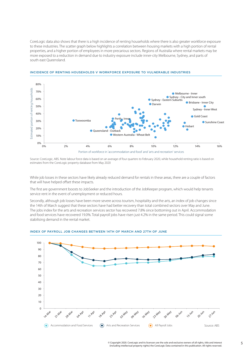CoreLogic data also shows that there is a high incidence of renting households where there is also greater workforce exposure to these industries. The scatter graph below highlights a correlation between housing markets with a high portion of rental properties, and a higher portion of employees in more precarious sectors. Regions of Australia where rental markets may be more exposed to a reduction in demand due to industry exposure include inner-city Melbourne, Sydney, and parts of south east Queensland.



#### INCIDENCE OF RENTING HOUSEHOLDS V WORKFORCE EXPOSURE TO VULNERABLE INDUSTRIES

Source: CoreLogic, ABS. Note labour force data is based on an average of four quarters to February 2020, while household renting ratio is based on estimates from the Corel ogic property database from May 2020

While job losses in these sectors have likely already reduced demand for rentals in these areas, there are a couple of factors that will have helped offset these impacts.

The first are government boosts to JobSeeker and the introduction of the JobKeeper program, which would help tenants service rent in the event of unemployment or reduced hours.

Secondly, although job losses have been more severe across tourism, hospitality and the arts, an index of job changes since the 14th of March suggest that these sectors have had better recovery than total combined sectors over May and June. The jobs index for the arts and recreation services sector has recovered 7.8% since bottoming out in April. Accommodation and food services have recovered 19.0%. Total payroll jobs have risen just 4.2% in the same period. This could signal some stabilising demand in the rental market.



#### INDEX OF PAYROLL JOB CHANGES BETWEEN 14TH OF MARCH AND 27TH OF JUNE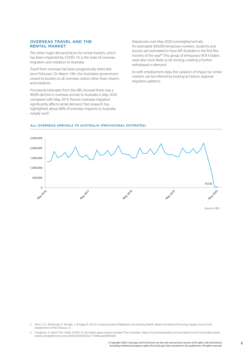## <span id="page-6-0"></span>OVERSEAS TRAVEL AND THE RENTAL MARKET

The other major demand factor for rental markets, which has been impacted by COVID-19, is the state of overseas migration and visitation to Australia.

Travel from overseas has been progressively restricted since February. On March 19th, the Australian government closed its borders to all overseas visitors other than citizens and residents.

Provisional estimates from the ABS showed there was a 98.8% decline in overseas arrivals to Australia in May 2020 compared with May 2019. Recent overseas migration significantly affects rental demand. Past research has highlighted, about 80% of overseas migrants to Australia initially rent<sup>5</sup>.

Departures over May 2020 outweighed arrivals. An estimated 300,000 temporary workers, students and tourists are estimated to have left Australia in the first few months of the year<sup>6</sup>. This group of temporary VISA holders were also more likely to be renting, creating a further withdrawal in demand.

As with employment data, the variation of impact on rental markets can be inferred by looking at historic regional migration patterns.

#### ALL OVERSEAS ARRIVALS TO AUSTRALIA (PROVISIONAL ESTIMATES)



5. Khoo, S. E., McDonald, P., Temple, J., & Edgar, B. (2012). Scoping Study of Migration and Housing Needs. Report for National Housing Supply Council Unit, Department of the Treasury, 31.

<sup>6.</sup> Creighton, A. (April 15th, 2020). COVID-19: Australia's great exodus revealed. The Australian. [https://www.theaustralian.com.au/nation/covid19-australias-great](https://www.theaustralian.com.au/nation/covid19-australias-great-exodus-revealed/news-story/643e22b0b3023a177e9dacaa03b8c830)[exodus-revealed/news-story/643e22b0b3023a177e9dacaa03b8c830](https://www.theaustralian.com.au/nation/covid19-australias-great-exodus-revealed/news-story/643e22b0b3023a177e9dacaa03b8c830).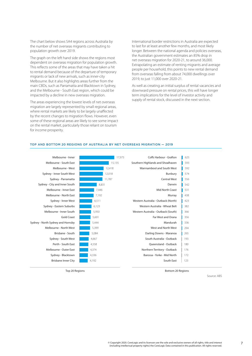The chart below shows SA4 regions across Australia by the number of net overseas migrants contributing to population growth over 2019.

The graph on the left hand side shows the regions most dependent on overseas migration for population growth. This reflects some of the areas that may have taken a hit to rental demand because of the departure of temporary migrants or lack of new arrivals, such as inner-city Melbourne. But it also highlights areas further from the main CBDs, such as Parramatta and Blacktown in Sydney, and the Melbourne - South East region, which could be impacted by a decline in new overseas migration.

The areas experiencing the lowest levels of net overseas migration are largely represented by small regional areas, where rental markets are likely to be largely unaffected by the recent changes to migration flows. However, even some of these regional areas are likely to see some impact on the rental market, particularly those reliant on tourism for income prosperity.

International border restrictions in Australia are expected to last for at least another few months, and most likely longer. Between the national agenda and policies overseas, the Australian government estimates an 85% drop in net overseas migration for 2020-21, to around 36,000. Extrapolating an estimate of renting migrants and average people per household, this points to new rental demand from overseas falling from about 74,000 dwellings over 2019, to just 11,000 over 2020-21.

As well as creating an initial surplus of rental vacancies and downward pressure on rental prices, this will have longer term implications for the level of investor activity and supply of rental stock, discussed in the next section.



#### TOP AND BOTTOM 20 REGIONS OF AUSTRALIA BY NET OVERSEAS MIGRATION — 2019

Source: ABS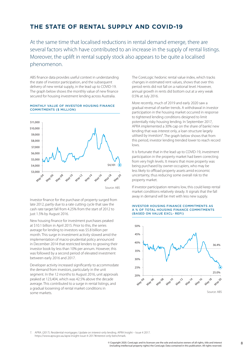# <span id="page-8-0"></span>**THE STATE OF RENTAL SUPPLY AND COVID-19**

At the same time that localised reductions in rental demand emerge, there are several factors which have contributed to an increase in the supply of rental listings. Moreover, the uplift in rental supply stock also appears to be quite a localised phenomenon.

ABS finance data provides useful context in understanding the state of investor participation, and the subsequent delivery of new rental supply, in the lead up to COVID-19. The graph below shows the monthly value of new finance secured for housing investment lending across Australia.

#### MONTHLY VALUE OF INVESTOR HOUSING FINANCE COMMITMENTS (\$ MILLION)



Source: ABS

Investor finance for the purchase of property surged from late 2012, partly due to a rate cutting cycle that saw the cash rate target fall from 4.25% from the start of 2012 to just 1.5% by August 2016.

New housing finance for investment purchases peaked at \$10.1 billion in April 2015. Prior to this, the series average for lending to investors was \$5.8 billion per month. This surge in investment activity slowed amid the implementation of macro-prudential policy announced in December 2014 that restricted lenders to growing their investor book by less than 10% per annum. However, this was followed by a second period of elevated investment between early 2016 and 2017.

Developer activity increased significantly to accommodate the demand from investors, particularly in the unit segment. In the 12 months to August 2016, unit approvals peaked at 123,404, which was 42.5% above the decade average. This contributed to a surge in rental listings, and a gradual loosening of rental market conditions in some markets.

The CoreLogic hedonic rental value index, which tracks changes in estimated rent values, shows that over this period rents did not fall on a national level. However, annual growth in rents did bottom out at a very weak 0.5% at July 2016.

More recently, much of 2019 and early 2020 saw a gradual reversal of earlier trends. A withdrawal in investor participation in the housing market occurred in response to tightened lending conditions designed to limit potentially risky housing lending. In September 2017, APRA implemented a 30% cap on the share of banks' new lending that was interest only, a loan structure largely utilised by investors<sup>7</sup> . The graph below shows that from this period, investor lending trended lower to reach record lows.

It is fortunate that in the lead up to COVID-19, investment participation in the property market had been correcting from very high levels. It means that more property was being purchased by owner-occupiers, who may be less likely to offload property assets amid economic uncertainty, thus reducing some overall risk to the property market.

If investor participation remains low, this could keep rental market conditions relatively steady. It signals that the fall away in demand will be met with less new supply.





7. APRA. (2017). Residential mortgages: Update on interest-only lending. APRA Insight – Issue 4 2017. [https://www.apra.gov.au/apra-insight-issue-4-2017#interest-only-benchmark.](https://www.apra.gov.au/apra-insight-issue-4-2017#interest-only-benchmark)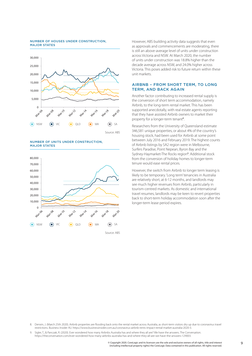#### <span id="page-9-0"></span>NUMBER OF HOUSES UNDER CONSTRUCTION, MAJOR STATES



NUMBER OF UNITS UNDER CONSTRUCTION, MAJOR STATES



Source: ABS

However, ABS building activity data suggests that even as approvals and commencements are moderating, there is still an above-average level of units under construction across Victoria and NSW. At March 2020, the number of units under construction was 18.8% higher than the decade average across NSW, and 24.0% higher across Victoria. This poses added risk to future return within these unit markets.

## AIRBNB – FROM SHORT TERM, TO LONG TERM, AND BACK AGAIN

Another factor contributing to increased rental supply is the conversion of short term accommodation, namely Airbnb, to the long-term rental market. This has been supported anecdotally, with real estate agents reporting that they have assisted Airbnb owners to market their property for a longer-term tenant<sup>8</sup>.

Researchers from the University of Queensland estimate 346,581 unique properties, or about 4% of the country's housing stock, had been used for Airbnb at some point between July 2016 and February 2019. The highest counts of Airbnb listings by SA2 region were in Melbourne, Surfers Paradise, Point Nepean, Byron Bay and the Sydney-Haymarket-The Rocks region<sup>9</sup> . Additional stock from the conversion of holiday homes to longer-term tenure would ease rental prices.

However, the switch from Airbnb to longer term leasing is likely to be temporary. 'Long term' tenancies in Australia are relatively short, at 6-12 months, and landlords may see much higher revenues from Airbnb, particularly in tourism-centred markets. As domestic and international travel resumes, landlords may be keen to revert properties back to short-term holiday accommodation soon after the longer-term lease period expires.

8. Derwin, J. (March 25th 2020). Airbnb properties are flooding back onto the rental market across Australia, as short-term visitors dry up due to coronavirus travel restrictions. Business Insider AU. [https://www.businessinsider.com.au/coronavirus-airbnb-rents-impact-rental-market-australia-2020-3.](https://www.businessinsider.com.au/coronavirus-airbnb-rents-impact-rental-market-australia-2020-3)

9. Sigler, T., & Panczak, R. (2020). Ever wondered how many Airbnbs Australia has and where they all are? We have the answers. The Conversation. [https://theconversation.com/ever-wondered-how-many-airbnbs-australia-has-and-where-they-all-are-we-have-the-answers-129003.](https://theconversation.com/ever-wondered-how-many-airbnbs-australia-has-and-where-they-all-are-we-have-the-answers-129003)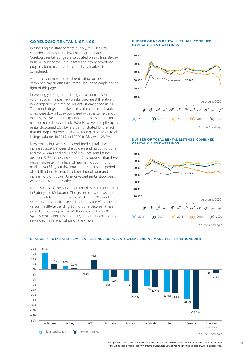# <span id="page-10-0"></span>CORELOGIC RENTAL LISTINGS

In assessing the state of rental supply, it is useful to consider changes in the level of advertised stock. CoreLogic rental listings are calculated on a rolling, 28-day basis. A count of the unique total and newly advertised property for rent across the capital city markets is considered.

A summary of new and total rent listings across the combined capital cities is summarised in the graphs to the right of this page.

Interestingly, though rent listings have seen a rise in volumes over the past few weeks, they are still relatively low compared with the equivalent 28-day period in 2019. Total rent listings on market across the combined capital cities were down 15.3% compared with the same period in 2019, as investor participation in the housing market reached record lows in early 2020. However, the pile-up in rental stock amid COVID-19 is demonstrated by the fact that this gap is narrowing: the average gap between total listings volumes in 2019 and 2020 to May was -23.2%.

New rent listings across the combined capital cities increased 2.2% between the 28 days ending 28th of June, and the 28 days ending 31st of May. Total rent listings declined 3.7% in the same period. This suggests that there was an increase in the level of new listings coming to market over May, but that total rental stock had a period of stabilisation. This may be either through demand increasing slightly over June, or vacant rental stock being withdrawn from the market.

Notably, most of the build-up in rental listings is occurring in Sydney and Melbourne. The graph below shows the change in total rent listings counted in the 28-days to March 15, as Australia reached its 100th case of COVID-19, versus the 28-days ending 28th of June. Between these periods, rent listings across Melbourne rose by 3,730, Sydney rent listings rose by 1,043, and other capital cities saw a decline in rent listings on the whole.

#### NUMBER OF NEW RENTAL LISTINGS, COMBINED CAPITAL CITIES DWELLINGS



#### NUMBER OF TOTAL RENTAL LISTINGS, COMBINED CAPITAL CITIES DWELLINGS





#### CHANGE IN TOTAL AND NEW RENT LISTINGS BETWEEN 4 WEEKS ENDING MARCH 15TH AND JUNE 28TH

© Copyright 2020. CoreLogic and its licensors are the sole and exclusive owners of all rights, title and interest 10 (including intellectual property rights) the CoreLogic Data contained in this publication. All rights reserved.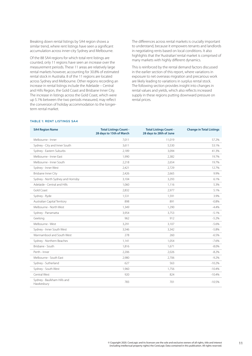Breaking down rental listings by SA4 region shows a similar trend, where rent listings have seen a significant accumulation across inner-city Sydney and Melbourne.

Of the 88 SA4 regions for which total rent listings are counted, only 11 regions have seen an increase over the measurement periods. These 11 areas are relatively large rental markets however, accounting for 30.8% of estimated rental stock in Australia. 8 of the 11 regions are located across Sydney and Melbourne. Other regions recording an increase in rental listings include the Adelaide – Central and Hills Region, the Gold Coast and Brisbane Inner City. The increase in listings across the Gold Coast, which were up 5.1% between the two periods measured, may reflect the conversion of holiday accommodation to the longerterm rental market.

The differences across rental markets is crucially important to understand, because it empowers tenants and landlords in negotiating rents based on local conditions. It also highlights that the 'Australian' rental market is comprised of many markets with highly different dynamics.

This is reinforced by the rental demand factors discussed in the earlier section of this report, where variations in exposure to net overseas migration and precarious work are likely leading to variations in surplus rental stock. The following section provides insight into changes in rental values and yields, which also reflects increased supply in these regions putting downward pressure on rental prices.

## TABLE 1: RENT LISTINGS SA4

| <b>SA4 Region Name</b>                    | <b>Total Listings Count -</b> | <b>Total Listings Count -</b> | <b>Change in Total Listings</b> |
|-------------------------------------------|-------------------------------|-------------------------------|---------------------------------|
|                                           | 28 days to 15th of March      | 28 days to 28th of June       |                                 |
| Melbourne - Inner                         | 7,011                         | 11,019                        | 57.2%                           |
| Sydney - City and Inner South             | 3,611                         | 5,530                         | 53.1%                           |
| Sydney - Eastern Suburbs                  | 2.189                         | 3,094                         | 41.3%                           |
| Melbourne - Inner East                    | 1,990                         | 2,382                         | 19.7%                           |
| Melbourne - Inner South                   | 2,218                         | 2,654                         | 19.7%                           |
| Sydney - Inner West                       | 2,421                         | 2,729                         | 12.7%                           |
| Brisbane Inner City                       | 2,426                         | 2,665                         | 9.9%                            |
| Sydney - North Sydney and Hornsby         | 3,104                         | 3,293                         | 6.1%                            |
| Adelaide - Central and Hills              | 1,060                         | 1,116                         | 5.3%                            |
| <b>Gold Coast</b>                         | 2,832                         | 2,977                         | 5.1%                            |
| Sydney - Ryde                             | 1,531                         | 1,591                         | 3.9%                            |
| Australian Capital Territory              | 898                           | 891                           | $-0.8%$                         |
| Melbourne - North West                    | 1,349                         | 1,290                         | $-4.4%$                         |
| Sydney - Parramatta                       | 3,954                         | 3,753                         | $-5.1%$                         |
| Geelong                                   | 962                           | 912                           | $-5.2\%$                        |
| Melbourne - West                          | 3,291                         | 3,107                         | $-5.6\%$                        |
| Sydney - Inner South West                 | 3,546                         | 3,342                         | $-5.8\%$                        |
| Warrnambool and South West                | 278                           | 260                           | $-6.5%$                         |
| Sydney - Northern Beaches                 | 1,141                         | 1,054                         | $-7.6\%$                        |
| Brisbane - South                          | 1,816                         | 1,671                         | $-8.0\%$                        |
| Perth - Inner                             | 2,206                         | 2,026                         | $-8.2%$                         |
| Melbourne - South East                    | 2,980                         | 2,706                         | $-9.2%$                         |
| Sydney - Sutherland                       | 627                           | 563                           | $-10.2%$                        |
| Sydney - South West                       | 1,960                         | 1,756                         | $-10.4%$                        |
| Central West                              | 920                           | 824                           | $-10.4%$                        |
| Sydney - Baulkham Hills and<br>Hawkesbury | 783                           | 701                           | $-10.5%$                        |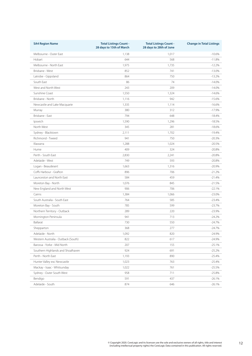| <b>SA4 Region Name</b>              | <b>Total Listings Count -</b><br>28 days to 15th of March | <b>Total Listings Count -</b><br>28 days to 28th of June | <b>Change in Total Listings</b> |
|-------------------------------------|-----------------------------------------------------------|----------------------------------------------------------|---------------------------------|
| Melbourne - Outer East              | 1,138                                                     | 1,017                                                    | $-10.6%$                        |
| Hobart                              | 644                                                       | 568                                                      | $-11.8%$                        |
| Melbourne - North East              | 1,975                                                     | 1,735                                                    | $-12.2%$                        |
| Brisbane - West                     | 852                                                       | 741                                                      | $-13.0%$                        |
| Latrobe - Gippsland                 | 864                                                       | 750                                                      | $-13.2%$                        |
| South East                          | 86                                                        | 74                                                       | $-14.0%$                        |
| West and North West                 | 243                                                       | 209                                                      | $-14.0%$                        |
| Sunshine Coast                      | 1,550                                                     | 1,324                                                    | $-14.6%$                        |
| Brisbane - North                    | 1,116                                                     | 942                                                      | $-15.6%$                        |
| Newcastle and Lake Macquarie        | 1,335                                                     | 1,114                                                    | $-16.6%$                        |
| Murray                              | 380                                                       | 312                                                      | $-17.9%$                        |
| Brisbane - East                     | 794                                                       | 648                                                      | $-18.4%$                        |
| Ipswich                             | 1,590                                                     | 1,296                                                    | $-18.5%$                        |
| North West                          | 345                                                       | 281                                                      | $-18.6%$                        |
| Sydney - Blacktown                  | 2,111                                                     | 1,702                                                    | $-19.4%$                        |
| Richmond - Tweed                    | 941                                                       | 750                                                      | $-20.3%$                        |
| Illawarra                           | 1,288                                                     | 1,024                                                    | $-20.5%$                        |
| Hume                                | 409                                                       | 324                                                      | $-20.8%$                        |
| Perth - South Fast                  | 2,830                                                     | 2,241                                                    | $-20.8%$                        |
| Adelaide - West                     | 749                                                       | 593                                                      | $-20.8%$                        |
| Logan - Beaudesert                  | 1,663                                                     | 1,316                                                    | $-20.9%$                        |
| Coffs Harbour - Grafton             | 896                                                       | 706                                                      | $-21.2%$                        |
| Launceston and North East           | 584                                                       | 459                                                      | $-21.4%$                        |
| Moreton Bay - North                 | 1,076                                                     | 845                                                      | $-21.5%$                        |
| New England and North West          | 906                                                       | 706                                                      | $-22.1%$                        |
| Cairns                              | 1,384                                                     | 1,066                                                    | $-23.0%$                        |
| South Australia - South East        | 764                                                       | 585                                                      | $-23.4%$                        |
| Moreton Bay - South                 | 785                                                       | 599                                                      | $-23.7%$                        |
| Northern Territory - Outback        | 289                                                       | 220                                                      | $-23.9%$                        |
| Mornington Peninsula                | 941                                                       | 713                                                      | $-24.2%$                        |
| Ballarat                            | 730                                                       | 550                                                      | $-24.7%$                        |
| Shepparton                          | 368                                                       | 277                                                      | $-24.7%$                        |
| Adelaide - North                    | 1,092                                                     | 820                                                      | $-24.9%$                        |
| Western Australia - Outback (South) | 822                                                       | 617                                                      | $-24.9%$                        |
| Barossa - Yorke - Mid North         | 207                                                       | 155                                                      | $-25.1%$                        |
| Southern Highlands and Shoalhaven   | 924                                                       | 691                                                      | $-25.2%$                        |
| Perth - North East                  | 1,193                                                     | 890                                                      | $-25.4%$                        |
| Hunter Valley exc Newcastle         | 1,023                                                     | 763                                                      | $-25.4%$                        |
| Mackay - Isaac - Whitsunday         | 1,022                                                     | 761                                                      | $-25.5%$                        |
| Sydney - Outer South West           | 958                                                       | 711                                                      | $-25.8%$                        |
| Bendigo                             | 591                                                       | 437                                                      | $-26.1%$                        |
| Adelaide - South                    | 874                                                       | 646                                                      | $-26.1%$                        |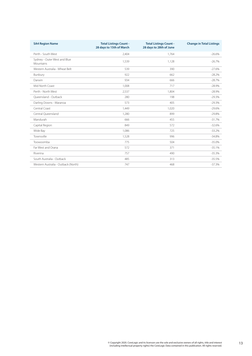| <b>SA4 Region Name</b>                    | <b>Total Listings Count -</b><br>28 days to 15th of March | <b>Total Listings Count -</b><br>28 days to 28th of June | <b>Change in Total Listings</b> |
|-------------------------------------------|-----------------------------------------------------------|----------------------------------------------------------|---------------------------------|
| Perth - South West                        | 2,404                                                     | 1,764                                                    | $-26.6%$                        |
| Sydney - Outer West and Blue<br>Mountains | 1.539                                                     | 1,128                                                    | $-26.7%$                        |
| Western Australia - Wheat Belt            | 539                                                       | 390                                                      | $-27.6%$                        |
| Bunbury                                   | 922                                                       | 662                                                      | $-28.2%$                        |
| Darwin                                    | 934                                                       | 666                                                      | $-28.7%$                        |
| Mid North Coast                           | 1.008                                                     | 717                                                      | $-28.9%$                        |
| Perth - North West                        | 2,537                                                     | 1.804                                                    | $-28.9%$                        |
| Oueensland - Outback                      | 280                                                       | 198                                                      | $-29.3%$                        |
| Darling Downs - Maranoa                   | 573                                                       | 405                                                      | $-29.3%$                        |
| Central Coast                             | 1,449                                                     | 1,020                                                    | $-29.6%$                        |
| Central Queensland                        | 1,280                                                     | 899                                                      | $-29.8%$                        |
| Mandurah                                  | 666                                                       | 455                                                      | $-31.7%$                        |
| Capital Region                            | 849                                                       | 572                                                      | $-32.6%$                        |
| Wide Bay                                  | 1,086                                                     | 725                                                      | $-33.2%$                        |
| Townsville                                | 1,528                                                     | 996                                                      | $-34.8%$                        |
| Toowoomba                                 | 775                                                       | 504                                                      | $-35.0%$                        |
| Far West and Orana                        | 572                                                       | 371                                                      | $-35.1%$                        |
| Riverina                                  | 757                                                       | 490                                                      | $-35.3%$                        |
| South Australia - Outback                 | 485                                                       | 313                                                      | $-35.5%$                        |
| Western Australia - Outback (North)       | 747                                                       | 468                                                      | $-37.3%$                        |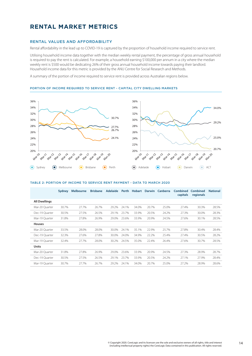# <span id="page-14-0"></span>**RENTAL MARKET METRICS**

## RENTAL VALUES AND AFFORDABILITY

Rental affordability in the lead up to COVID-19 is captured by the proportion of household income required to service rent.

Utilising household income data together with the median weekly rental payment, the percentage of gross annual household is required to pay the rent is calculated. For example, a household earning \$100,000 per annum in a city where the median weekly rent is \$500 would be dedicating 26% of their gross annual household income towards paying their landlord. Household income data for this metric is provided by the ANU Centre for Social Research and Methods.

A summary of the portion of income required to service rent is provided across Australian regions below.

#### PORTION OF INCOME REQUIRED TO SERVICE RENT - CAPITAL CITY DWELLING MARKETS



#### TABLE 2: PORTION OF INCOME TO SERVICE RENT PAYMENT - DATA TO MARCH 2020

|                      | Sydney | <b>Melbourne</b> | <b>Brisbane</b> | <b>Adelaide</b> | Perth | Hobart |       | Darwin Canberra | Combined<br>capitals | Combined<br>regionals | <b>National</b> |
|----------------------|--------|------------------|-----------------|-----------------|-------|--------|-------|-----------------|----------------------|-----------------------|-----------------|
| <b>All Dwellings</b> |        |                  |                 |                 |       |        |       |                 |                      |                       |                 |
| Mar-20 Ouarter       | 30.7%  | 27.7%            | 26.7%           | 29.2%           | 24.1% | 34.0%  | 20.7% | 25.0%           | 27.4%                | 30.3%                 | 28.5%           |
| Dec-19 Quarter       | 30.5%  | 27.5%            | 26.5%           | 29.1%           | 23.7% | 33.9%  | 20.5% | 24.2%           | 27.3%                | 30.0%                 | 28.3%           |
| Mar-19 Ouarter       | 31.8%  | 27.8%            | 26.9%           | 29.0%           | 23.6% | 33.9%  | 20.9% | 24.5%           | 27.6%                | 30.1%                 | 28.5%           |
| <b>Houses</b>        |        |                  |                 |                 |       |        |       |                 |                      |                       |                 |
| Mar-20 Ouarter       | 33.5%  | 28.0%            | 28.0%           | 30.0%           | 24.1% | 35.1%  | 22.9% | 25.7%           | 27.8%                | 30.4%                 | 28.4%           |
| Dec-19 Quarter       | 32.3%  | 27.6%            | 27.8%           | 30.0%           | 24.0% | 34.9%  | 22.2% | 25.4%           | 27.4%                | 30.5%                 | 28.2%           |
| Mar-19 Quarter       | 32.4%  | 27.7%            | 28.0%           | 30.2%           | 24.5% | 35.0%  | 22.4% | 26.4%           | 27.6%                | 30.7%                 | 28.5%           |
| <b>Units</b>         |        |                  |                 |                 |       |        |       |                 |                      |                       |                 |
| Mar-20 Quarter       | 31.8%  | 27.8%            | 26.9%           | 29.0%           | 23.6% | 33.9%  | 20.9% | 24.5%           | 27.3%                | 28.9%                 | 28.7%           |
| Dec-19 Ouarter       | 30.5%  | 27.5%            | 26.5%           | 29.1%           | 23.7% | 33.9%  | 20.5% | 24.2%           | 27.1%                | 27.9%                 | 28.4%           |
| Mar-19 Quarter       | 30.7%  | 27.7%            | 26.7%           | 29.2%           | 24.1% | 34.0%  | 20.7% | 25.0%           | 27.2%                | 28.9%                 | 28.6%           |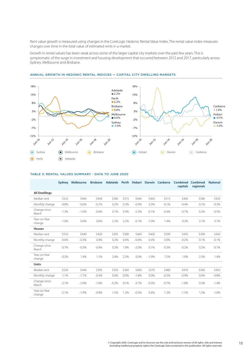Rent value growth is measured using changes in the CoreLogic Hedonic Rental Value Index. The rental value index measures changes over time in the total value of estimated rents in a market.

Growth in rental values has been weak across some of the larger capital city markets over the past few years. This is symptomatic of the surge in investment and housing development that occurred between 2012 and 2017, particularly across Sydney, Melbourne and Brisbane.



## ANNUAL GROWTH IN HEDONIC RENTAL INDICIES — CAPITAL CITY DWELLING MARKETS

#### TABLE 3: RENTAL VALUES SUMMARY - DATA TO JUNE 2020

|                        | <b>Sydney</b> | <b>Melbourne</b> | <b>Brisbane</b> | <b>Adelaide</b> |       | Perth Hobart | <b>Darwin</b> | Canberra | <b>Combined</b><br>capitals | Combined<br>regionals | <b>National</b> |
|------------------------|---------------|------------------|-----------------|-----------------|-------|--------------|---------------|----------|-----------------------------|-----------------------|-----------------|
| <b>All Dwellings</b>   |               |                  |                 |                 |       |              |               |          |                             |                       |                 |
| Median rent            | \$525         | \$440            | \$400           | \$380           | \$375 | \$440        | \$400         | \$515    | \$460                       | \$380                 | \$450           |
| Monthly change         | $-0.8%$       | $-0.6%$          | $-0.1%$         | 0.2%            | 0.3%  | $-0.9%$      | 0.3%          | $-0.1%$  | $-0.4%$                     | 0.1%                  | $-0.3%$         |
| Change since<br>March  | $-1.3%$       | $-1.0%$          | $-0.6%$         | 0.1%            | 0.9%  | $-2.3%$      | $-0.1%$       | $-0.4%$  | $-0.7%$                     | 0.2%                  | $-0.5%$         |
| Year-on-Year<br>change | $-1.0%$       | 0.0%             | 0.6%            | 2.2%            | 2.2%  | $-0.1%$      | $-1.0%$       | 1.4%     | 0.2%                        | 2.1%                  | 0.7%            |
| <b>Houses</b>          |               |                  |                 |                 |       |              |               |          |                             |                       |                 |
| Median rent            | \$550         | \$440            | \$420           | \$395           | \$380 | \$460        | \$460         | \$590    | \$450                       | \$390                 | \$430           |
| Monthly change         | $-0.6%$       | $-0.3%$          | 0.0%            | 0.2%            | 0.4%  | $-0.6%$      | 0.4%          | 0.0%     | $-0.2%$                     | 0.1%                  | $-0.1%$         |
| Change since<br>March  | $-0.7%$       | $-0.3%$          | $-0.4%$         | 0.2%            | 1.0%  | $-2.0%$      | 0.1%          | $-0.3%$  | $-0.2%$                     | 0.2%                  | $-0.1%$         |
| Year-on-Year<br>change | $-0.2%$       | 1.4%             | 1.1%            | 2.4%            | 2.3%  | 0.0%         | $-1.9%$       | 1.5%     | 1.0%                        | 2.3%                  | 1.4%            |
| <b>Units</b>           |               |                  |                 |                 |       |              |               |          |                             |                       |                 |
| Median rent            | \$520         | \$440            | \$395           | \$350           | \$360 | \$400        | \$370         | \$480    | \$470                       | \$360                 | \$450           |
| Monthly change         | $-1.1%$       | $-1.1%$          | $-0.4%$         | 0.0%            | 0.0%  | $-1.8%$      | 0.0%          | $-0.5%$  | $-0.9%$                     | 0.0%                  | $-0.8%$         |
| Change since<br>March  | $-2.1%$       | $-2.0%$          | $-1.0%$         | $-0.2%$         | 0.1%  | $-3.7%$      | $-0.3%$       | $-0.7%$  | $-1.8%$                     | 0.3%                  | $-1.4%$         |
| Year-on-Year<br>change | $-2.1%$       | $-1.9%$          | $-0.8%$         | 1.5%            | 1.2%  | $-0.5%$      | 0.4%          | 1.2%     | $-1.5%$                     | 1.5%                  | $-1.0%$         |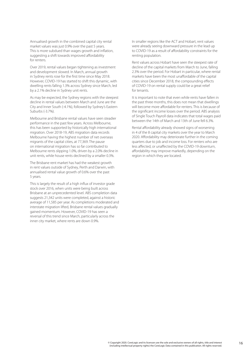Annualised growth in the combined capital city rental market values was just 0.9% over the past 5 years. This is more subdued than wages growth and inflation, suggesting a shift towards improved affordability for renters.

Over 2019, rental values began tightening as investment and development slowed. In March, annual growth in Sydney rents rose for the first time since May 2018. However, COVID-19 has started to shift this dynamic, with dwelling rents falling 1.3% across Sydney since March, led by a 2.1% decline in Sydney unit rents.

As may be expected, the Sydney regions with the steepest decline in rental values between March and June are the City and Inner South (-4.1%), followed by Sydney's Eastern Suburbs (-3.7%).

Melbourne and Brisbane rental values have seen steadier performance in the past few years. Across Melbourne, this has been supported by historically high international migration. Over 2018-19, ABS migration data records Melbourne having the highest number of net overseas migrants of the capital cities, at 77,369. The pause on international migration has so far contributed to Melbourne rents slipping 1.0%, driven by a 2.0% decline in unit rents, while house rents declined by a smaller 0.3%.

The Brisbane rent market has had the weakest growth in rent values outside of Sydney, Perth and Darwin, with annualised rental value growth of 0.6% over the past 5 years.

This is largely the result of a high influx of investor grade stock over 2016, when units were being built across Brisbane at an unprecedented level. ABS completion data suggests 21,342 units were completed, against a historic average of 11,585 per year. As completions moderated and interstate migration lifted, Brisbane rental values gradually gained momentum. However, COVID-19 has seen a reversal of this trend since March, particularly across the inner city market, where rents are down 0.9%.

In smaller regions like the ACT and Hobart, rent values were already seeing downward pressure in the lead up to COVID-19 as a result of affordability constraints for the renting population.

Rent values across Hobart have seen the steepest rate of decline of the capital markets from March to June, falling 2.3% over the period. For Hobart in particular, where rental markets have been the most unaffordable of the capital cities since December 2018, the compounding effects of COVID-19 on rental supply could be a great relief for tenants.

It is important to note that even while rents have fallen in the past three months, this does not mean that dwellings will become more affordable for renters. This is because of the significant income losses over the period. ABS analysis of Single Touch Payroll data indicates that total wages paid between the 14th of March and 13th of June fell 6.3%.

Rental affordability already showed signs of worsening in 4 of the 8 capital city markets over the year to March 2020. Affordability may deteriorate further in the coming quarters due to job and income loss. For renters who are less affected, or unaffected by the COVID-19 downturn, affordability may improve markedly, depending on the region in which they are located.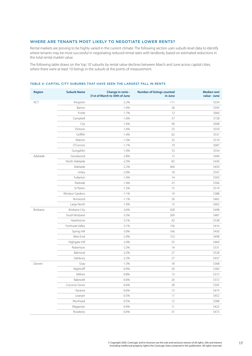# <span id="page-17-0"></span>WHERE ARE TENANTS MOST LIKELY TO NEGOTIATE LOWER RENTS?

Rental markets are proving to be highly varied in the current climate. The following section uses suburb-level data to identify where tenants may be most successful in negotiating reduced rental rates with landlords, based on estimated reductions in the total rental market value.

The following table draws on the 'top 10' suburbs by rental value declines between March and June across capital cities, where there were at least 10 listings in the suburb at the points of measurement.

| ACT<br>$-2.2%$<br>111<br>\$554<br>Kingston<br>$-1.9%$<br>Barton<br>36<br>\$595<br>Forde<br>$-1.7%$<br>12<br>\$660<br>Campbell<br>$-1.6%$<br>37<br>\$728<br>City<br>$-1.6%$<br>96<br>\$608<br>Dickson<br>$-1.6%$<br>25<br>\$559<br>Griffith<br>$-1.4%$<br>62<br>\$531<br>\$510<br>Watson<br>$-1.3%$<br>32<br>O'Connor<br>$-1.1%$<br>19<br>\$687<br>\$554<br>Gungahlin<br>$-1.0%$<br>53<br>Adelaide<br>Goodwood<br>$-2.8%$<br>12<br>\$494<br>North Adelaide<br>$-2.3%$<br>82<br>\$436<br>Adelaide<br>$-2.2%$<br>404<br>\$450<br>Unley<br>$-2.0%$<br>\$507<br>18<br>Fullarton<br>$-1.4%$<br>\$503<br>14<br>Parkside<br>$-1.4%$<br>25<br>\$506<br>St Peters<br>$-1.2%$<br>\$519<br>15<br>Windsor Gardens<br>$-1.1%$<br>19<br>\$388<br>Norwood<br>56<br>$-1.1%$<br>\$462<br>Largs North<br>$-1.0%$<br>13<br>\$402<br>Brisbane<br><b>Brisbane City</b><br>$-3.6%$<br>428<br>\$498<br>South Brisbane<br>\$487<br>$-3.3%$<br>269<br>Hawthorne<br>$-3.1%$<br>42<br>\$538<br>Fortitude Valley<br>$-3.1%$<br>156<br>\$416<br>\$430<br>Spring Hill<br>$-3.0%$<br>166<br>West End<br>$-2.9%$<br>\$498<br>153<br>Highgate Hill<br>$-2.4%$<br>55<br>\$469<br>14<br>\$531<br>Robertson<br>$-2.3%$<br>Balmoral<br>$-2.2%$<br>27<br>\$528<br>$-2.2%$<br>27<br>\$437<br>Salisbury<br>Darwin<br>$-1.3%$<br>18<br>\$368<br>Gray<br>Nightcliff<br>$-0.9%$<br>30<br>\$383<br>Millner<br>$-0.8%$<br>13<br>\$372<br>Bakewell<br>$-0.6%$<br>26<br>\$372<br>Coconut Grove<br>28<br>\$345<br>$-0.6%$<br>$13\,$<br>\$419<br>Karama<br>$-0.6%$<br>17<br>\$452<br>Leanyer<br>$-0.5%$<br>12<br>\$588<br>Muirhead<br>$-0.5%$<br>Wagaman<br>$-0.4%$<br>11<br>\$423 | <b>Region</b> | <b>Suburb Name</b> | Change in rents -<br>31st of March to 30th of June | <b>Number of listings counted</b><br>in June | <b>Median rent</b><br>value - June |
|----------------------------------------------------------------------------------------------------------------------------------------------------------------------------------------------------------------------------------------------------------------------------------------------------------------------------------------------------------------------------------------------------------------------------------------------------------------------------------------------------------------------------------------------------------------------------------------------------------------------------------------------------------------------------------------------------------------------------------------------------------------------------------------------------------------------------------------------------------------------------------------------------------------------------------------------------------------------------------------------------------------------------------------------------------------------------------------------------------------------------------------------------------------------------------------------------------------------------------------------------------------------------------------------------------------------------------------------------------------------------------------------------------------------------------------------------------------------------------------------------------------------------------------------------------------------------------------------------------------------------------|---------------|--------------------|----------------------------------------------------|----------------------------------------------|------------------------------------|
|                                                                                                                                                                                                                                                                                                                                                                                                                                                                                                                                                                                                                                                                                                                                                                                                                                                                                                                                                                                                                                                                                                                                                                                                                                                                                                                                                                                                                                                                                                                                                                                                                                  |               |                    |                                                    |                                              |                                    |
|                                                                                                                                                                                                                                                                                                                                                                                                                                                                                                                                                                                                                                                                                                                                                                                                                                                                                                                                                                                                                                                                                                                                                                                                                                                                                                                                                                                                                                                                                                                                                                                                                                  |               |                    |                                                    |                                              |                                    |
|                                                                                                                                                                                                                                                                                                                                                                                                                                                                                                                                                                                                                                                                                                                                                                                                                                                                                                                                                                                                                                                                                                                                                                                                                                                                                                                                                                                                                                                                                                                                                                                                                                  |               |                    |                                                    |                                              |                                    |
|                                                                                                                                                                                                                                                                                                                                                                                                                                                                                                                                                                                                                                                                                                                                                                                                                                                                                                                                                                                                                                                                                                                                                                                                                                                                                                                                                                                                                                                                                                                                                                                                                                  |               |                    |                                                    |                                              |                                    |
|                                                                                                                                                                                                                                                                                                                                                                                                                                                                                                                                                                                                                                                                                                                                                                                                                                                                                                                                                                                                                                                                                                                                                                                                                                                                                                                                                                                                                                                                                                                                                                                                                                  |               |                    |                                                    |                                              |                                    |
|                                                                                                                                                                                                                                                                                                                                                                                                                                                                                                                                                                                                                                                                                                                                                                                                                                                                                                                                                                                                                                                                                                                                                                                                                                                                                                                                                                                                                                                                                                                                                                                                                                  |               |                    |                                                    |                                              |                                    |
|                                                                                                                                                                                                                                                                                                                                                                                                                                                                                                                                                                                                                                                                                                                                                                                                                                                                                                                                                                                                                                                                                                                                                                                                                                                                                                                                                                                                                                                                                                                                                                                                                                  |               |                    |                                                    |                                              |                                    |
|                                                                                                                                                                                                                                                                                                                                                                                                                                                                                                                                                                                                                                                                                                                                                                                                                                                                                                                                                                                                                                                                                                                                                                                                                                                                                                                                                                                                                                                                                                                                                                                                                                  |               |                    |                                                    |                                              |                                    |
|                                                                                                                                                                                                                                                                                                                                                                                                                                                                                                                                                                                                                                                                                                                                                                                                                                                                                                                                                                                                                                                                                                                                                                                                                                                                                                                                                                                                                                                                                                                                                                                                                                  |               |                    |                                                    |                                              |                                    |
|                                                                                                                                                                                                                                                                                                                                                                                                                                                                                                                                                                                                                                                                                                                                                                                                                                                                                                                                                                                                                                                                                                                                                                                                                                                                                                                                                                                                                                                                                                                                                                                                                                  |               |                    |                                                    |                                              |                                    |
|                                                                                                                                                                                                                                                                                                                                                                                                                                                                                                                                                                                                                                                                                                                                                                                                                                                                                                                                                                                                                                                                                                                                                                                                                                                                                                                                                                                                                                                                                                                                                                                                                                  |               |                    |                                                    |                                              |                                    |
|                                                                                                                                                                                                                                                                                                                                                                                                                                                                                                                                                                                                                                                                                                                                                                                                                                                                                                                                                                                                                                                                                                                                                                                                                                                                                                                                                                                                                                                                                                                                                                                                                                  |               |                    |                                                    |                                              |                                    |
|                                                                                                                                                                                                                                                                                                                                                                                                                                                                                                                                                                                                                                                                                                                                                                                                                                                                                                                                                                                                                                                                                                                                                                                                                                                                                                                                                                                                                                                                                                                                                                                                                                  |               |                    |                                                    |                                              |                                    |
|                                                                                                                                                                                                                                                                                                                                                                                                                                                                                                                                                                                                                                                                                                                                                                                                                                                                                                                                                                                                                                                                                                                                                                                                                                                                                                                                                                                                                                                                                                                                                                                                                                  |               |                    |                                                    |                                              |                                    |
|                                                                                                                                                                                                                                                                                                                                                                                                                                                                                                                                                                                                                                                                                                                                                                                                                                                                                                                                                                                                                                                                                                                                                                                                                                                                                                                                                                                                                                                                                                                                                                                                                                  |               |                    |                                                    |                                              |                                    |
|                                                                                                                                                                                                                                                                                                                                                                                                                                                                                                                                                                                                                                                                                                                                                                                                                                                                                                                                                                                                                                                                                                                                                                                                                                                                                                                                                                                                                                                                                                                                                                                                                                  |               |                    |                                                    |                                              |                                    |
|                                                                                                                                                                                                                                                                                                                                                                                                                                                                                                                                                                                                                                                                                                                                                                                                                                                                                                                                                                                                                                                                                                                                                                                                                                                                                                                                                                                                                                                                                                                                                                                                                                  |               |                    |                                                    |                                              |                                    |
|                                                                                                                                                                                                                                                                                                                                                                                                                                                                                                                                                                                                                                                                                                                                                                                                                                                                                                                                                                                                                                                                                                                                                                                                                                                                                                                                                                                                                                                                                                                                                                                                                                  |               |                    |                                                    |                                              |                                    |
|                                                                                                                                                                                                                                                                                                                                                                                                                                                                                                                                                                                                                                                                                                                                                                                                                                                                                                                                                                                                                                                                                                                                                                                                                                                                                                                                                                                                                                                                                                                                                                                                                                  |               |                    |                                                    |                                              |                                    |
|                                                                                                                                                                                                                                                                                                                                                                                                                                                                                                                                                                                                                                                                                                                                                                                                                                                                                                                                                                                                                                                                                                                                                                                                                                                                                                                                                                                                                                                                                                                                                                                                                                  |               |                    |                                                    |                                              |                                    |
|                                                                                                                                                                                                                                                                                                                                                                                                                                                                                                                                                                                                                                                                                                                                                                                                                                                                                                                                                                                                                                                                                                                                                                                                                                                                                                                                                                                                                                                                                                                                                                                                                                  |               |                    |                                                    |                                              |                                    |
|                                                                                                                                                                                                                                                                                                                                                                                                                                                                                                                                                                                                                                                                                                                                                                                                                                                                                                                                                                                                                                                                                                                                                                                                                                                                                                                                                                                                                                                                                                                                                                                                                                  |               |                    |                                                    |                                              |                                    |
|                                                                                                                                                                                                                                                                                                                                                                                                                                                                                                                                                                                                                                                                                                                                                                                                                                                                                                                                                                                                                                                                                                                                                                                                                                                                                                                                                                                                                                                                                                                                                                                                                                  |               |                    |                                                    |                                              |                                    |
|                                                                                                                                                                                                                                                                                                                                                                                                                                                                                                                                                                                                                                                                                                                                                                                                                                                                                                                                                                                                                                                                                                                                                                                                                                                                                                                                                                                                                                                                                                                                                                                                                                  |               |                    |                                                    |                                              |                                    |
|                                                                                                                                                                                                                                                                                                                                                                                                                                                                                                                                                                                                                                                                                                                                                                                                                                                                                                                                                                                                                                                                                                                                                                                                                                                                                                                                                                                                                                                                                                                                                                                                                                  |               |                    |                                                    |                                              |                                    |
|                                                                                                                                                                                                                                                                                                                                                                                                                                                                                                                                                                                                                                                                                                                                                                                                                                                                                                                                                                                                                                                                                                                                                                                                                                                                                                                                                                                                                                                                                                                                                                                                                                  |               |                    |                                                    |                                              |                                    |
|                                                                                                                                                                                                                                                                                                                                                                                                                                                                                                                                                                                                                                                                                                                                                                                                                                                                                                                                                                                                                                                                                                                                                                                                                                                                                                                                                                                                                                                                                                                                                                                                                                  |               |                    |                                                    |                                              |                                    |
|                                                                                                                                                                                                                                                                                                                                                                                                                                                                                                                                                                                                                                                                                                                                                                                                                                                                                                                                                                                                                                                                                                                                                                                                                                                                                                                                                                                                                                                                                                                                                                                                                                  |               |                    |                                                    |                                              |                                    |
|                                                                                                                                                                                                                                                                                                                                                                                                                                                                                                                                                                                                                                                                                                                                                                                                                                                                                                                                                                                                                                                                                                                                                                                                                                                                                                                                                                                                                                                                                                                                                                                                                                  |               |                    |                                                    |                                              |                                    |
|                                                                                                                                                                                                                                                                                                                                                                                                                                                                                                                                                                                                                                                                                                                                                                                                                                                                                                                                                                                                                                                                                                                                                                                                                                                                                                                                                                                                                                                                                                                                                                                                                                  |               |                    |                                                    |                                              |                                    |
|                                                                                                                                                                                                                                                                                                                                                                                                                                                                                                                                                                                                                                                                                                                                                                                                                                                                                                                                                                                                                                                                                                                                                                                                                                                                                                                                                                                                                                                                                                                                                                                                                                  |               |                    |                                                    |                                              |                                    |
|                                                                                                                                                                                                                                                                                                                                                                                                                                                                                                                                                                                                                                                                                                                                                                                                                                                                                                                                                                                                                                                                                                                                                                                                                                                                                                                                                                                                                                                                                                                                                                                                                                  |               |                    |                                                    |                                              |                                    |
|                                                                                                                                                                                                                                                                                                                                                                                                                                                                                                                                                                                                                                                                                                                                                                                                                                                                                                                                                                                                                                                                                                                                                                                                                                                                                                                                                                                                                                                                                                                                                                                                                                  |               |                    |                                                    |                                              |                                    |
|                                                                                                                                                                                                                                                                                                                                                                                                                                                                                                                                                                                                                                                                                                                                                                                                                                                                                                                                                                                                                                                                                                                                                                                                                                                                                                                                                                                                                                                                                                                                                                                                                                  |               |                    |                                                    |                                              |                                    |
|                                                                                                                                                                                                                                                                                                                                                                                                                                                                                                                                                                                                                                                                                                                                                                                                                                                                                                                                                                                                                                                                                                                                                                                                                                                                                                                                                                                                                                                                                                                                                                                                                                  |               |                    |                                                    |                                              |                                    |
|                                                                                                                                                                                                                                                                                                                                                                                                                                                                                                                                                                                                                                                                                                                                                                                                                                                                                                                                                                                                                                                                                                                                                                                                                                                                                                                                                                                                                                                                                                                                                                                                                                  |               |                    |                                                    |                                              |                                    |
|                                                                                                                                                                                                                                                                                                                                                                                                                                                                                                                                                                                                                                                                                                                                                                                                                                                                                                                                                                                                                                                                                                                                                                                                                                                                                                                                                                                                                                                                                                                                                                                                                                  |               |                    |                                                    |                                              |                                    |
|                                                                                                                                                                                                                                                                                                                                                                                                                                                                                                                                                                                                                                                                                                                                                                                                                                                                                                                                                                                                                                                                                                                                                                                                                                                                                                                                                                                                                                                                                                                                                                                                                                  |               |                    |                                                    |                                              |                                    |
|                                                                                                                                                                                                                                                                                                                                                                                                                                                                                                                                                                                                                                                                                                                                                                                                                                                                                                                                                                                                                                                                                                                                                                                                                                                                                                                                                                                                                                                                                                                                                                                                                                  |               |                    |                                                    |                                              |                                    |
|                                                                                                                                                                                                                                                                                                                                                                                                                                                                                                                                                                                                                                                                                                                                                                                                                                                                                                                                                                                                                                                                                                                                                                                                                                                                                                                                                                                                                                                                                                                                                                                                                                  |               | Rosebery           | $-0.4%$                                            | 31                                           | \$473                              |

## TABLE 4: CAPITAL CITY SUBURBS THAT HAVE SEEN THE LARGEST FALL IN RENTS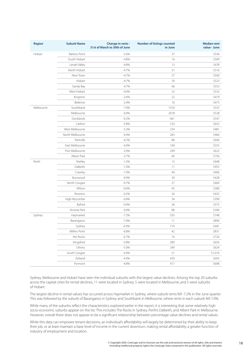| <b>Region</b> | <b>Suburb Name</b>   | Change in rents -<br>31st of March to 30th of June | <b>Number of listings counted</b><br>in June | <b>Median rent</b><br>value - June |
|---------------|----------------------|----------------------------------------------------|----------------------------------------------|------------------------------------|
| Hobart        | <b>Battery Point</b> | $-5.6%$                                            | 37                                           | \$536                              |
|               | South Hobart         | $-4.8%$                                            | 16                                           | \$509                              |
|               | Lenah Valley         | $-4.8%$                                            | 13                                           | \$478                              |
|               | North Hobart         | $-4.7%$                                            | 21                                           | \$516                              |
|               | New Town             | $-4.7%$                                            | 27                                           | \$500                              |
|               | Hobart               | $-4.7%$                                            | 39                                           | \$523                              |
|               | Sandy Bay            | $-4.7%$                                            | 66                                           | \$553                              |
|               | West Hobart          | $-4.0%$                                            | 23                                           | \$532                              |
|               | Kingston             | $-2.6%$                                            | 22                                           | \$479                              |
|               | Bellerive            | $-2.4%$                                            | 16                                           | \$473                              |
| Melbourne     | Southbank            | $-7.0%$                                            | 1554                                         | \$525                              |
|               | Melbourne            | $-6.9%$                                            | 2678                                         | \$528                              |
|               | Docklands            | $-6.5%$                                            | 661                                          | \$547                              |
|               | Carlton              | $-5.8%$                                            | 533                                          | \$452                              |
|               | West Melbourne       | $-5.3%$                                            | 234                                          | \$481                              |
|               | North Melbourne      | $-4.4%$                                            | 265                                          | \$466                              |
|               | Parkville            | $-4.2%$                                            | 88                                           | \$446                              |
|               | East Melbourne       | $-4.0%$                                            | 109                                          | \$555                              |
|               | Port Melbourne       | $-3.9%$                                            | 299                                          | \$623                              |
|               | Albert Park          | $-3.7%$                                            | 60                                           | \$756                              |
| Perth         | Shelley              | $-1.3%$                                            | 13                                           | \$448                              |
|               | Dalkeith             | $-1.0%$                                            | 11                                           | \$955                              |
|               | Crawley              | $-1.0%$                                            | 44                                           | \$466                              |
|               | Burswood             | $-0.9%$                                            | 39                                           | \$428                              |
|               | North Coogee         | $-0.7%$                                            | 27                                           | \$469                              |
|               | Wilson               | $-0.6%$                                            | 45                                           | \$380                              |
|               | Riverton             | $-0.5%$                                            | 26                                           | \$432                              |
|               | High Wycombe         | $-0.4%$                                            | 34                                           | \$399                              |
|               | Byford               | $-0.4%$                                            | 36                                           | \$373                              |
|               | Victoria Park        | $-0.4%$                                            | 88                                           | \$396                              |
| Sydney        | Haymarket            | $-7.2%$                                            | 333                                          | \$748                              |
|               | Barangaroo           | $-7.0%$                                            | 11                                           | \$890                              |
|               | Sydney               | $-6.9%$                                            | 719                                          | \$681                              |
|               | Millers Point        | $-6.8%$                                            | 42                                           | \$831                              |
|               | the Rocks            | $-6.7%$                                            | 14                                           | \$726                              |
|               | Kingsford            | $-5.8%$                                            | 289                                          | \$656                              |
|               | Ultimo               | $-5.0%$                                            | 249                                          | \$624                              |
|               | South Coogee         | $-4.9%$                                            | 21                                           | \$1,014                            |
|               | Zetland              | $-4.9%$                                            | 429                                          | \$693                              |
|               | Pyrmont              | $-4.8%$                                            | 417                                          | \$698                              |

Sydney, Melbourne and Hobart have seen the individual suburbs with the largest value declines. Among the top 20 suburbs across the capital cities for rental declines, 11 were located in Sydney, 5 were located in Melbourne, and 5 were suburbs of Hobart.

The largest decline in rental values has occurred across Haymarket in Sydney, where suburb rents fell -7.2% in the June quarter. This was followed by the suburb of Barangaroo in Sydney and Southbank in Melbourne, where rents in each suburb fell 7.0%.

While many of the suburbs reflect the characteristics explored earlier in the report, it is interesting that some relatively high socio-economic suburbs appear on the list. This includes The Rocks in Sydney, Perth's Dalkeith, and Albert Park in Melbourne. However, overall there does not appear to be a significant relationship between percentage value declines and rental values.

While this data can empower tenant decisions, an individual's affordability will largely be determined by their ability to keep their job, or at least maintain a base level of income in the current downturn, making rental affordability a greater function of industry of employment and location.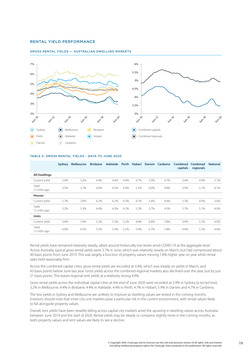## <span id="page-19-0"></span>RENTAL YIELD PERFORMANCE

#### GROSS RENTAL YIELDS — AUSTRALIAN DWELLING MARKETS



#### TABLE 5: GROSS RENTAL YIELDS - DATA TO JUNE 2020

|                      | <b>Sydney</b> | <b>Melbourne</b> | <b>Brisbane</b> | <b>Adelaide</b> | Perth | <b>Hobart</b> |      | Darwin Canberra | <b>Combined</b><br>capitals | <b>Combined</b><br>regionals | <b>National</b> |
|----------------------|---------------|------------------|-----------------|-----------------|-------|---------------|------|-----------------|-----------------------------|------------------------------|-----------------|
| <b>All Dwellings</b> |               |                  |                 |                 |       |               |      |                 |                             |                              |                 |
| Current yield        | 2.9%          | 3.2%             | 4.4%            | 4.4%            | 4.4%  | 4.7%          | 5.9% | 4.7%            | 3.4%                        | 4.9%                         | 3.7%            |
| Yield<br>12 mths ago | 3.5%          | 3.7%             | 4.6%            | 4.5%            | 4.4%  | 5.3%          | 6.0% | 4.8%            | 3.9%                        | 5.1%                         | 4.1%            |
| <b>Houses</b>        |               |                  |                 |                 |       |               |      |                 |                             |                              |                 |
| Current yield        | 2.7%          | 2.8%             | 4.2%            | 4.2%            | 4.3%  | 4.7%          | 5.4% | 4.4%            | 3.3%                        | 4.9%                         | 3.6%            |
| Yield<br>12 mths ago | 3.2%          | 3.3%             | 4.4%            | 4.3%            | 4.2%  | 5.2%          | 5.7% | 4.5%            | 3.7%                        | 5.1%                         | 4.0%            |
| <b>Units</b>         |               |                  |                 |                 |       |               |      |                 |                             |                              |                 |
| Current yield        | 3.4%          | 3.9%             | 5.2%            | 5.3%            | 5.2%  | 4.8%          | 6.8% | 5.8%            | 3.9%                        | 5.2%                         | 4.0%            |
| Yield<br>12 mths ago | 4.0%          | 4.5%             | 5.5%            | 5.4%            | 5.2%  | 5.4%          | 6.7% | 5.8%            | 4.4%                        | 5.5%                         | 4.6%            |

Rental yields have remained relatively steady, albeit around historically low levels amid COVID-19 at the aggregate level. Across Australia, typical gross rental yields were 3.7% in June, which was relatively steady on March, but had compressed about 40 basis points from June 2019. This was largely a function of property values moving 7.8% higher year on year while rental rates held reasonably firm.

Across the combined capital cities, gross rental yields are recorded at 3.4%, which was steady on yields in March, and 43 basis points below June last year. Gross yields across the combined regional markets also declined over the year, but by just 21 basis points. This leaves regional rent yields at a relatively strong 4.9%.

Gross rental yields across the individual capital cities at the end of June 2020 were recorded at 2.9% in Sydney (a record low), 3.2% in Melbourne, 4.4% in Brisbane, 4.4% in Adelaide, 4.4% in Perth, 4.7% in Hobart, 5.9% in Darwin and 4.7% in Canberra.

The low yields in Sydney and Melbourne are unlikely to improve as dwelling values are tested in the coming months. Investors should note that inner-city unit markets pose a particular risk in the current environment, with rental values likely to fall alongside property values.

Overall, rent yields have been steadily falling across capital city markets amid the upswing in dwelling values across Australia between June 2019 and the start of 2020. Rental yields may be steady or compress slightly more in the coming months, as both property values and rent values are likely to see a decline.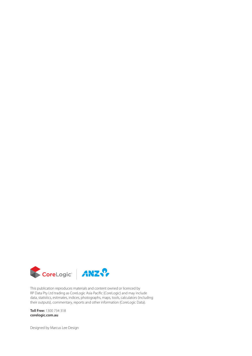

This publication reproduces materials and content owned or licenced by RP Data Pty Ltd trading as CoreLogic Asia Pacific (CoreLogic) and may include data, statistics, estimates, indices, photographs, maps, tools, calculators (including their outputs), commentary, reports and other information (CoreLogic Data).

**Toll Free:** 1300 734 318 **[corelogic.com.au](https://www.corelogic.com.au/)**

Designed by Marcus Lee Design